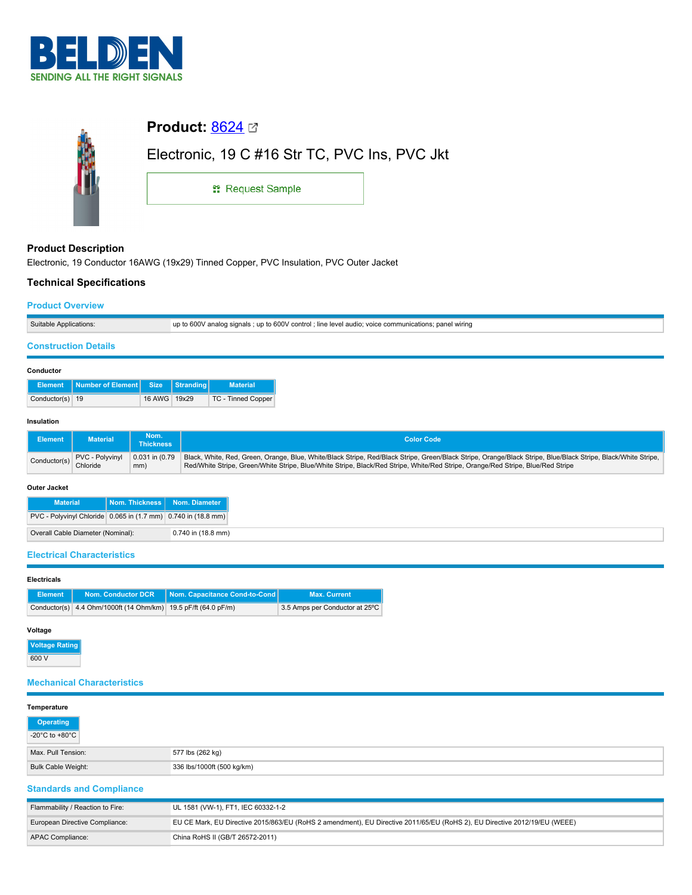



# **Product Description**

Electronic, 19 Conductor 16AWG (19x29) Tinned Copper, PVC Insulation, PVC Outer Jacket

# **Technical Specifications**

### **Product Overview**

| Suitable | or signals : up to 600V control : line level audio: voice communications:<br>panel wiring |
|----------|-------------------------------------------------------------------------------------------|

## **Construction Details**

#### **Conductor**

|                 | Element Number of Element Size Stranding |              | <b>Material</b>    |
|-----------------|------------------------------------------|--------------|--------------------|
| Conductor(s) 19 |                                          | 16 AWG 19x29 | TC - Tinned Copper |

#### **Insulation**

| Element      | <b>Material</b>             | Nom.<br>Thickness | <b>Color Code</b>                                                                                                                                                                                                                                                                                               |
|--------------|-----------------------------|-------------------|-----------------------------------------------------------------------------------------------------------------------------------------------------------------------------------------------------------------------------------------------------------------------------------------------------------------|
| Conductor(s) | PVC - Polyvinyl<br>Chloride | mm)               | 0.031 in (0.79 Black, White, Red, Green, Orange, Blue, White/Black Stripe, Red/Black Stripe, Green/Black Stripe, Orange/Black Stripe, Blue/Black Stripe, Black/White Stripe,<br>Red/White Stripe, Green/White Stripe, Blue/White Stripe, Black/Red Stripe, White/Red Stripe, Orange/Red Stripe, Blue/Red Stripe |

#### **Outer Jacket**

| <b>Material</b>                                               | Nom. Thickness   Nom. Diameter |
|---------------------------------------------------------------|--------------------------------|
| PVC - Polyvinyl Chloride 0.065 in (1.7 mm) 0.740 in (18.8 mm) |                                |
| Overall Cable Diameter (Nominal):                             | 0.740 in (18.8 mm)             |

## **Electrical Characteristics**

| <b>Electricals</b> |                                                                |                                 |                                |  |  |  |
|--------------------|----------------------------------------------------------------|---------------------------------|--------------------------------|--|--|--|
| <b>Element</b>     | Nom. Conductor DCR                                             | Nom. Capacitance Cond-to-Cond I | <b>Max. Current</b>            |  |  |  |
|                    | Conductor(s) 4.4 Ohm/1000ft (14 Ohm/km) 19.5 pF/ft (64.0 pF/m) |                                 | 3.5 Amps per Conductor at 25°C |  |  |  |

## **Voltage**

**Voltage Rating** 600 V

# **Mechanical Characteristics**

#### **Temperature**

| .                                  |                            |  |  |  |  |
|------------------------------------|----------------------------|--|--|--|--|
| Operating                          |                            |  |  |  |  |
| $-20^{\circ}$ C to $+80^{\circ}$ C |                            |  |  |  |  |
| Max. Pull Tension:                 | 577 lbs (262 kg)           |  |  |  |  |
| Bulk Cable Weight:                 | 336 lbs/1000ft (500 kg/km) |  |  |  |  |
| <b>Standards and Compliance</b>    |                            |  |  |  |  |

| Flammability / Reaction to Fire: | UL 1581 (VW-1), FT1, IEC 60332-1-2                                                                                        |
|----------------------------------|---------------------------------------------------------------------------------------------------------------------------|
| European Directive Compliance:   | EU CE Mark, EU Directive 2015/863/EU (RoHS 2 amendment), EU Directive 2011/65/EU (RoHS 2), EU Directive 2012/19/EU (WEEE) |
| APAC Compliance:                 | China RoHS II (GB/T 26572-2011)                                                                                           |